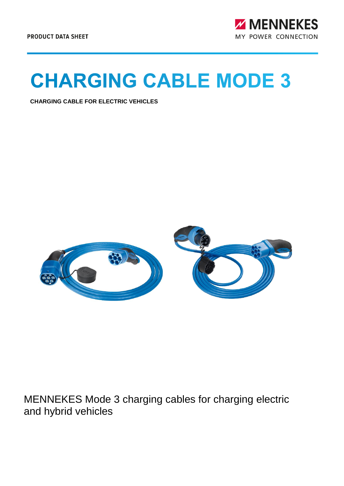

## **CHARGING CABLE MODE 3**

**CHARGING CABLE FOR ELECTRIC VEHICLES**



MENNEKES Mode 3 charging cables for charging electric and hybrid vehicles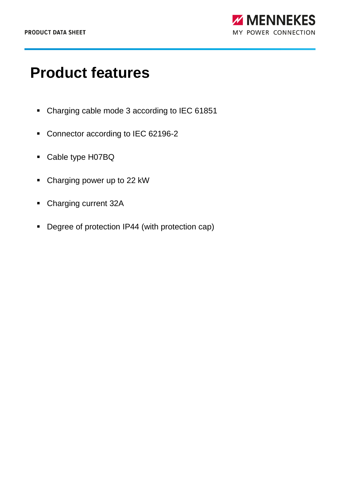## **Product features**

- Charging cable mode 3 according to IEC 61851
- Connector according to IEC 62196-2
- Cable type H07BQ
- Charging power up to 22 kW
- Charging current 32A
- Degree of protection IP44 (with protection cap)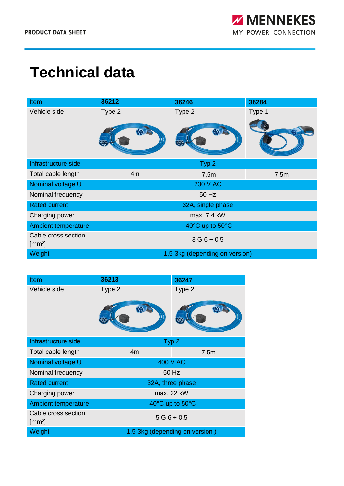## **Technical data**

| <b>Item</b>                               | 36212                          | 36246            | 36284  |
|-------------------------------------------|--------------------------------|------------------|--------|
| Vehicle side                              | Type 2                         | Type 2           | Type 1 |
|                                           | $\mathfrak{B}$                 | $\mathfrak{B}$   |        |
| Infrastructure side                       |                                | Typ <sub>2</sub> |        |
| Total cable length                        | 4m                             | 7,5m             | 7,5m   |
| Nominal voltage U <sub>n</sub>            | <b>230 V AC</b>                |                  |        |
| Nominal frequency                         | 50 Hz                          |                  |        |
| <b>Rated current</b>                      | 32A, single phase              |                  |        |
| Charging power                            | max. 7,4 kW                    |                  |        |
| Ambient temperature                       | -40°C up to 50°C               |                  |        |
| Cable cross section<br>[mm <sup>2</sup> ] | $3G6 + 0.5$                    |                  |        |
| Weight                                    | 1,5-3kg (depending on version) |                  |        |

| Item                                      | 36213                                | 36247  |  |
|-------------------------------------------|--------------------------------------|--------|--|
| Vehicle side                              | Type 2                               | Type 2 |  |
|                                           |                                      |        |  |
| Infrastructure side                       | Typ <sub>2</sub>                     |        |  |
| Total cable length                        | 4m                                   | 7,5m   |  |
| Nominal voltage U <sub>n</sub>            | 400 V AC                             |        |  |
| Nominal frequency                         | 50 Hz                                |        |  |
| <b>Rated current</b>                      | 32A, three phase                     |        |  |
| Charging power                            | max. 22 kW                           |        |  |
| <b>Ambient temperature</b>                | $-40^{\circ}$ C up to $50^{\circ}$ C |        |  |
| Cable cross section<br>[mm <sup>2</sup> ] | $5G6 + 0.5$                          |        |  |
| Weight                                    | 1,5-3kg (depending on version)       |        |  |